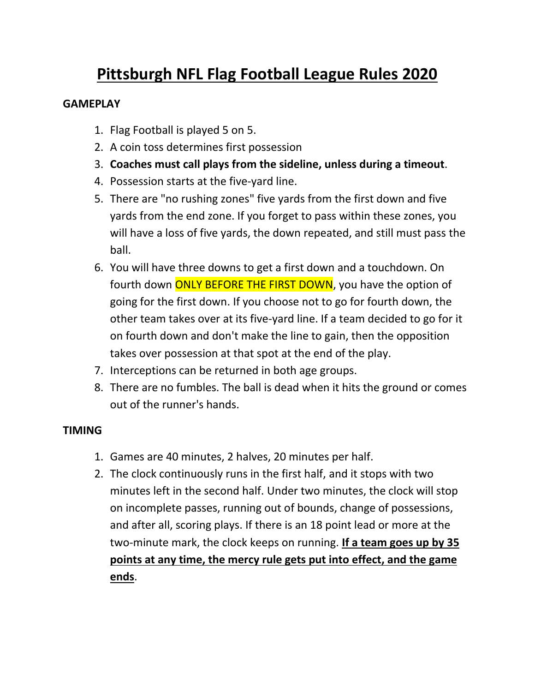# **Pittsburgh NFL Flag Football League Rules 2020**

#### **GAMEPLAY**

- 1. Flag Football is played 5 on 5.
- 2. A coin toss determines first possession
- 3. **Coaches must call plays from the sideline, unless during a timeout**.
- 4. Possession starts at the five-yard line.
- 5. There are "no rushing zones" five yards from the first down and five yards from the end zone. If you forget to pass within these zones, you will have a loss of five yards, the down repeated, and still must pass the ball.
- 6. You will have three downs to get a first down and a touchdown. On fourth down ONLY BEFORE THE FIRST DOWN, you have the option of going for the first down. If you choose not to go for fourth down, the other team takes over at its five-yard line. If a team decided to go for it on fourth down and don't make the line to gain, then the opposition takes over possession at that spot at the end of the play.
- 7. Interceptions can be returned in both age groups.
- 8. There are no fumbles. The ball is dead when it hits the ground or comes out of the runner's hands.

#### **TIMING**

- 1. Games are 40 minutes, 2 halves, 20 minutes per half.
- 2. The clock continuously runs in the first half, and it stops with two minutes left in the second half. Under two minutes, the clock will stop on incomplete passes, running out of bounds, change of possessions, and after all, scoring plays. If there is an 18 point lead or more at the two-minute mark, the clock keeps on running. **If a team goes up by 35 points at any time, the mercy rule gets put into effect, and the game ends**.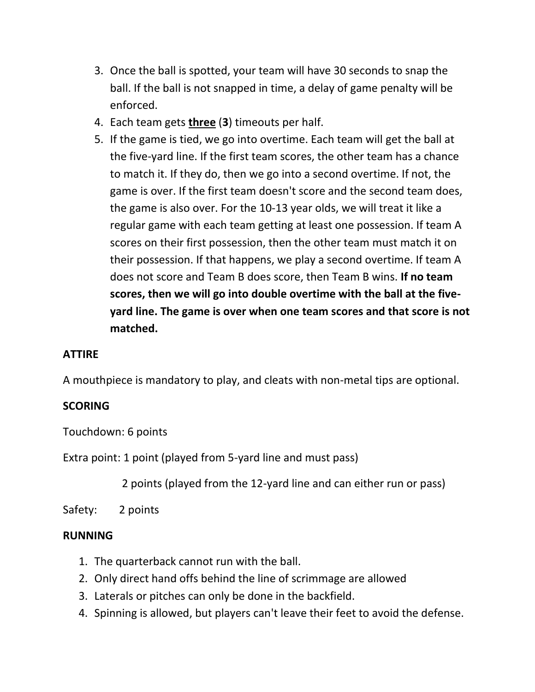- 3. Once the ball is spotted, your team will have 30 seconds to snap the ball. If the ball is not snapped in time, a delay of game penalty will be enforced.
- 4. Each team gets **three** (**3**) timeouts per half.
- 5. If the game is tied, we go into overtime. Each team will get the ball at the five-yard line. If the first team scores, the other team has a chance to match it. If they do, then we go into a second overtime. If not, the game is over. If the first team doesn't score and the second team does, the game is also over. For the 10-13 year olds, we will treat it like a regular game with each team getting at least one possession. If team A scores on their first possession, then the other team must match it on their possession. If that happens, we play a second overtime. If team A does not score and Team B does score, then Team B wins. **If no team scores, then we will go into double overtime with the ball at the fiveyard line. The game is over when one team scores and that score is not matched.**

#### **ATTIRE**

A mouthpiece is mandatory to play, and cleats with non-metal tips are optional.

#### **SCORING**

Touchdown: 6 points

Extra point: 1 point (played from 5-yard line and must pass)

2 points (played from the 12-yard line and can either run or pass)

Safety: 2 points

#### **RUNNING**

- 1. The quarterback cannot run with the ball.
- 2. Only direct hand offs behind the line of scrimmage are allowed
- 3. Laterals or pitches can only be done in the backfield.
- 4. Spinning is allowed, but players can't leave their feet to avoid the defense.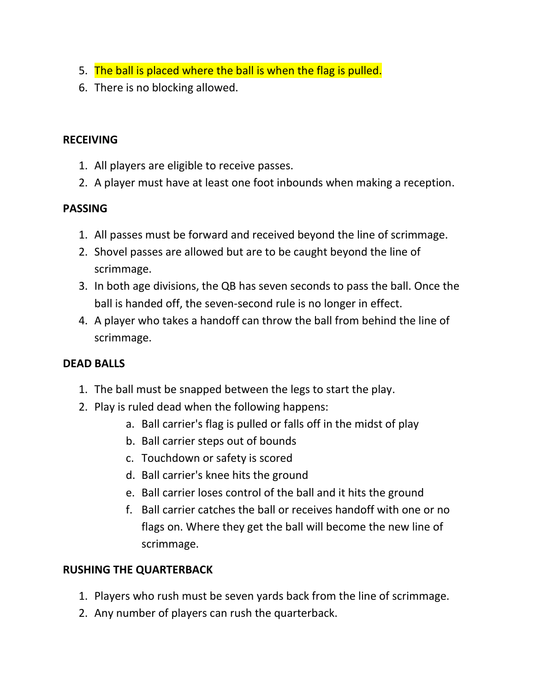- 5. The ball is placed where the ball is when the flag is pulled.
- 6. There is no blocking allowed.

#### **RECEIVING**

- 1. All players are eligible to receive passes.
- 2. A player must have at least one foot inbounds when making a reception.

#### **PASSING**

- 1. All passes must be forward and received beyond the line of scrimmage.
- 2. Shovel passes are allowed but are to be caught beyond the line of scrimmage.
- 3. In both age divisions, the QB has seven seconds to pass the ball. Once the ball is handed off, the seven-second rule is no longer in effect.
- 4. A player who takes a handoff can throw the ball from behind the line of scrimmage.

### **DEAD BALLS**

- 1. The ball must be snapped between the legs to start the play.
- 2. Play is ruled dead when the following happens:
	- a. Ball carrier's flag is pulled or falls off in the midst of play
	- b. Ball carrier steps out of bounds
	- c. Touchdown or safety is scored
	- d. Ball carrier's knee hits the ground
	- e. Ball carrier loses control of the ball and it hits the ground
	- f. Ball carrier catches the ball or receives handoff with one or no flags on. Where they get the ball will become the new line of scrimmage.

### **RUSHING THE QUARTERBACK**

- 1. Players who rush must be seven yards back from the line of scrimmage.
- 2. Any number of players can rush the quarterback.